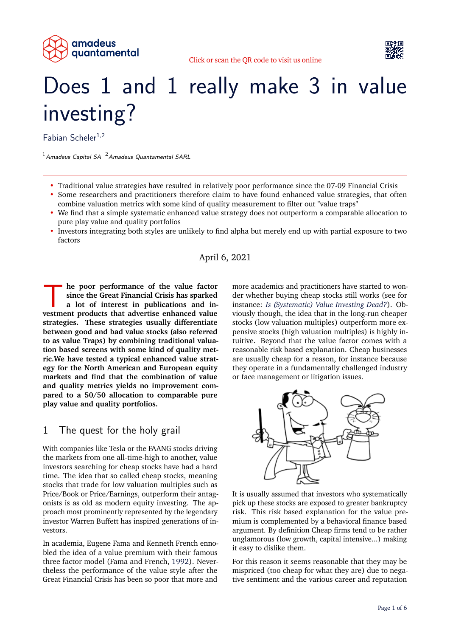



# Does 1 and 1 really make 3 in value investing?

Fabian Scheler<sup>1,2</sup>

 $<sup>1</sup>$ Amadeus Capital SA  $<sup>2</sup>$ Amadeus Quantamental SARL</sup></sup>

- Traditional value strategies have resulted in relatively poor performance since the 07-09 Financial Crisis
- Some researchers and practitioners therefore claim to have found enhanced value strategies, that often combine valuation metrics with some kind of quality measurement to filter out "value traps"
- We find that a simple systematic enhanced value strategy does not outperform a comparable allocation to pure play value and quality portfolios
- Investors integrating both styles are unlikely to find alpha but merely end up with partial exposure to two factors

#### April 6, 2021

**k** he poor performance of the value factor since the Great Financial Crisis has sparked a lot of interest in publications and investment products that advertise enhanced value **he poor performance of the value factor since the Great Financial Crisis has sparked a lot of interest in publications and instrategies. These strategies usually differentiate between good and bad value stocks (also referred to as value Traps) by combining traditional valuation based screens with some kind of quality metric.We have tested a typical enhanced value strategy for the North American and European equity markets and find that the combination of value and quality metrics yields no improvement compared to a 50/50 allocation to comparable pure play value and quality portfolios.**

### 1 The quest for the holy grail

With companies like Tesla or the FAANG stocks driving the markets from one all-time-high to another, value investors searching for cheap stocks have had a hard time. The idea that so called cheap stocks, meaning stocks that trade for low valuation multiples such as Price/Book or Price/Earnings, outperform their antagonists is as old as modern equity investing. The approach most prominently represented by the legendary investor Warren Buffett has inspired generations of investors.

In academia, Eugene Fama and Kenneth French ennobled the idea of a value premium with their famous three factor model (Fama and French, [1992\)](#page-5-0). Nevertheless the performance of the value style after the Great Financial Crisis has been so poor that more and

more academics and practitioners have started to wonder whether buying cheap stocks still works (see for instance: *[Is \(Systematic\) Value Investing Dead?](#page-5-1)*). Obviously though, the idea that in the long-run cheaper stocks (low valuation multiples) outperform more expensive stocks (high valuation multiples) is highly intuitive. Beyond that the value factor comes with a reasonable risk based explanation. Cheap businesses are usually cheap for a reason, for instance because they operate in a fundamentally challenged industry or face management or litigation issues.



It is usually assumed that investors who systematically pick up these stocks are exposed to greater bankruptcy risk. This risk based explanation for the value premium is complemented by a behavioral finance based argument. By definition Cheap firms tend to be rather unglamorous (low growth, capital intensive...) making it easy to dislike them.

For this reason it seems reasonable that they may be mispriced (too cheap for what they are) due to negative sentiment and the various career and reputation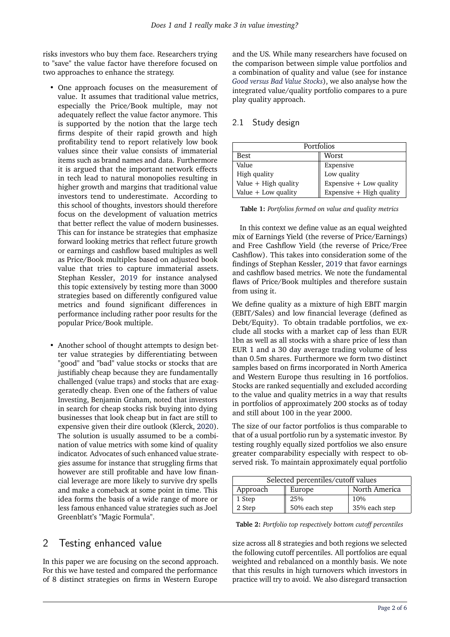risks investors who buy them face. Researchers trying to "save" the value factor have therefore focused on two approaches to enhance the strategy.

- One approach focuses on the measurement of value. It assumes that traditional value metrics, especially the Price/Book multiple, may not adequately reflect the value factor anymore. This is supported by the notion that the large tech firms despite of their rapid growth and high profitability tend to report relatively low book values since their value consists of immaterial items such as brand names and data. Furthermore it is argued that the important network effects in tech lead to natural monopolies resulting in higher growth and margins that traditional value investors tend to underestimate. According to this school of thoughts, investors should therefore focus on the development of valuation metrics that better reflect the value of modern businesses. This can for instance be strategies that emphasize forward looking metrics that reflect future growth or earnings and cashflow based multiples as well as Price/Book multiples based on adjusted book value that tries to capture immaterial assets. Stephan Kessler, [2019](#page-5-3) for instance analysed this topic extensively by testing more than 3000 strategies based on differently configured value metrics and found significant differences in performance including rather poor results for the popular Price/Book multiple.
- Another school of thought attempts to design better value strategies by differentiating between "good" and "bad" value stocks or stocks that are justifiably cheap because they are fundamentally challenged (value traps) and stocks that are exaggeratedly cheap. Even one of the fathers of value Investing, Benjamin Graham, noted that investors in search for cheap stocks risk buying into dying businesses that look cheap but in fact are still to expensive given their dire outlook (Klerck, [2020\)](#page-5-4). The solution is usually assumed to be a combination of value metrics with some kind of quality indicator. Advocates of such enhanced value strategies assume for instance that struggling firms that however are still profitable and have low financial leverage are more likely to survive dry spells and make a comeback at some point in time. This idea forms the basis of a wide range of more or less famous enhanced value strategies such as Joel Greenblatt's "Magic Formula".

# 2 Testing enhanced value

In this paper we are focusing on the second approach. For this we have tested and compared the performance of 8 distinct strategies on firms in Western Europe

and the US. While many researchers have focused on the comparison between simple value portfolios and a combination of quality and value (see for instance *[Good versus Bad Value Stocks](#page-5-5)*), we also analyse how the integrated value/quality portfolio compares to a pure play quality approach.

#### 2.1 Study design

| Portfolios             |                           |  |
|------------------------|---------------------------|--|
| Best                   | Worst                     |  |
| Value                  | Expensive                 |  |
| High quality           | Low quality               |  |
| Value $+$ High quality | Expensive $+$ Low quality |  |
| Value $+$ Low quality  | Expensive + High quality  |  |

**Table 1:** *Portfolios formed on value and quality metrics*

In this context we define value as an equal weighted mix of Earnings Yield (the reverse of Price/Earnings) and Free Cashflow Yield (the reverse of Price/Free Cashflow). This takes into consideration some of the findings of Stephan Kessler, [2019](#page-5-3) that favor earnings and cashflow based metrics. We note the fundamental flaws of Price/Book multiples and therefore sustain from using it.

We define quality as a mixture of high EBIT margin (EBIT/Sales) and low financial leverage (defined as Debt/Equity). To obtain tradable portfolios, we exclude all stocks with a market cap of less than EUR 1bn as well as all stocks with a share price of less than EUR 1 and a 30 day average trading volume of less than 0.5m shares. Furthermore we form two distinct samples based on firms incorporated in North America and Western Europe thus resulting in 16 portfolios. Stocks are ranked sequentially and excluded according to the value and quality metrics in a way that results in portfolios of approximately 200 stocks as of today and still about 100 in the year 2000.

The size of our factor portfolios is thus comparable to that of a usual portfolio run by a systematic investor. By testing roughly equally sized portfolios we also ensure greater comparability especially with respect to observed risk. To maintain approximately equal portfolio

| Selected percentiles/cutoff values |               |               |
|------------------------------------|---------------|---------------|
| Approach                           | Europe        | North America |
| 1 Step                             | 25%           | 10%           |
| 2 Step                             | 50% each step | 35% each step |

**Table 2:** *Portfolio top respectively bottom cutoff percentiles*

size across all 8 strategies and both regions we selected the following cutoff percentiles. All portfolios are equal weighted and rebalanced on a monthly basis. We note that this results in high turnovers which investors in practice will try to avoid. We also disregard transaction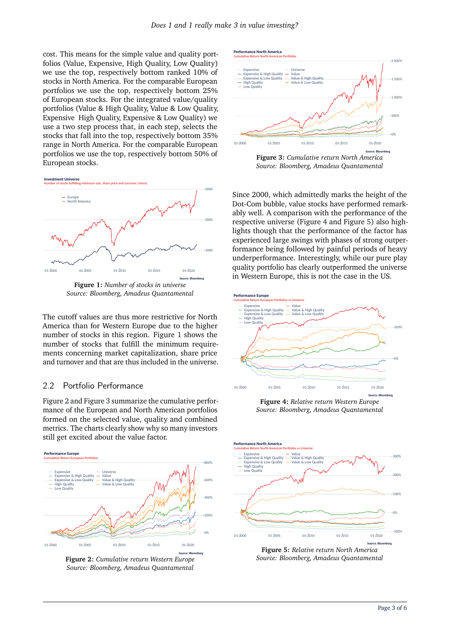cost. This means for the simple value and quality portfolios (Value, Expensive, High Quality, Low Quality) we use the top, respectively bottom ranked 10% of stocks in North America. For the comparable European portfolios we use the top, respectively bottom 25% of European stocks. For the integrated value/quality portfolios (Value & High Quality, Value & Low Quality, Expensive High Quality, Expensive & Low Quality) we use a two step process that, in each step, selects the stocks that fall into the top, respectively bottom 35% range in North America. For the comparable European portfolios we use the top, respectively bottom 50% of European stocks.

<span id="page-2-0"></span>



**Figure 1:** *Number of stocks in universe Source: Bloomberg, Amadeus Quantamental*

The cutoff values are thus more restrictive for North America than for Western Europe due to the higher number of stocks in this region. Figure [1](#page-2-0) shows the number of stocks that fulfill the minimum requirements concerning market capitalization, share price and turnover and that are thus included in the universe.

#### 2.2 Portfolio Performance

Figure [2](#page-2-1) and Figure [3](#page-2-2) summarize the cumulative performance of the European and North American portfolios formed on the selected value, quality and combined metrics. The charts clearly show why so many investors still get excited about the value factor.

<span id="page-2-1"></span>

**Figure 2:** *Cumulative return Western Europe Source: Bloomberg, Amadeus Quantamental*

<span id="page-2-2"></span>

*Source: Bloomberg, Amadeus Quantamental*

Since 2000, which admittedly marks the height of the Dot-Com bubble, value stocks have performed remarkably well. A comparison with the performance of the respective universe (Figure [4](#page-2-3) and Figure [5\)](#page-2-4) also highlights though that the performance of the factor has experienced large swings with phases of strong outperformance being followed by painful periods of heavy underperformance. Interestingly, while our pure play quality portfolio has clearly outperformed the universe in Western Europe, this is not the case in the US.

<span id="page-2-3"></span>

**Figure 4:** *Relative return Western Europe Source: Bloomberg, Amadeus Quantamental*

<span id="page-2-4"></span>

**Figure 5:** *Relative return North America Source: Bloomberg, Amadeus Quantamental*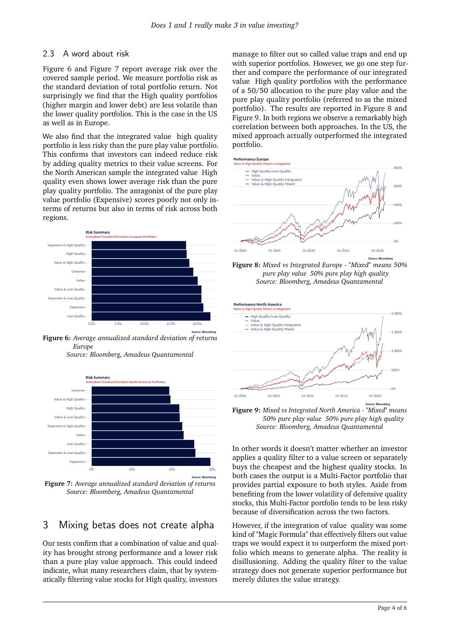#### 2.3 A word about risk

Figure [6](#page-3-0) and Figure [7](#page-3-1) report average risk over the covered sample period. We measure portfolio risk as the standard deviation of total portfolio return. Not surprisingly we find that the High quality portfolios (higher margin and lower debt) are less volatile than the lower quality portfolios. This is the case in the US as well as in Europe.

We also find that the integrated value high quality portfolio is less risky than the pure play value portfolio. This confirms that investors can indeed reduce risk by adding quality metrics to their value screens. For the North American sample the integrated value High quality even shows lower average risk than the pure play quality portfolio. The antagonist of the pure play value portfolio (Expensive) scores poorly not only interms of returns but also in terms of risk across both regions.

<span id="page-3-0"></span>

**Source: Bloomberg Figure 6:** *Average annualized standard deviation of returns Europe*

*Source: Bloomberg, Amadeus Quantamental*

<span id="page-3-1"></span>

**Figure 7:** *Average annualized standard deviation of returns Source: Bloomberg, Amadeus Quantamental*

# 3 Mixing betas does not create alpha

Our tests confirm that a combination of value and quality has brought strong performance and a lower risk than a pure play value approach. This could indeed indicate, what many researchers claim, that by systematically filtering value stocks for High quality, investors

manage to filter out so called value traps and end up with superior portfolios. However, we go one step further and compare the performance of our integrated value High quality portfolios with the performance of a 50/50 allocation to the pure play value and the pure play quality portfolio (referred to as the mixed portfolio). The results are reported in Figure [8](#page-3-2) and Figure [9.](#page-3-3) In both regions we observe a remarkably high correlation between both approaches. In the US, the mixed approach actually outperformed the integrated portfolio.

<span id="page-3-2"></span>



**Source: Bloomberg Figure 8:** *Mixed vs Integrated Europe - "Mixed" means 50% pure play value 50% pure play high quality Source: Bloomberg, Amadeus Quantamental*

<span id="page-3-3"></span>

**Figure 9:** *Mixed vs Integrated North America - "Mixed" means 50% pure play value 50% pure play high quality Source: Bloomberg, Amadeus Quantamental*

In other words it doesn't matter whether an investor applies a quality filter to a value screen or separately buys the cheapest and the highest quality stocks. In both cases the output is a Multi-Factor portfolio that provides partial exposure to both styles. Aside from benefiting from the lower volatility of defensive quality stocks, this Multi-Factor portfolio tends to be less risky because of diversification across the two factors.

However, if the integration of value quality was some kind of "Magic Formula" that effectively filters out value traps we would expect it to outperform the mixed portfolio which means to generate alpha. The reality is disillusioning. Adding the quality filter to the value strategy does not generate superior performance but merely dilutes the value strategy.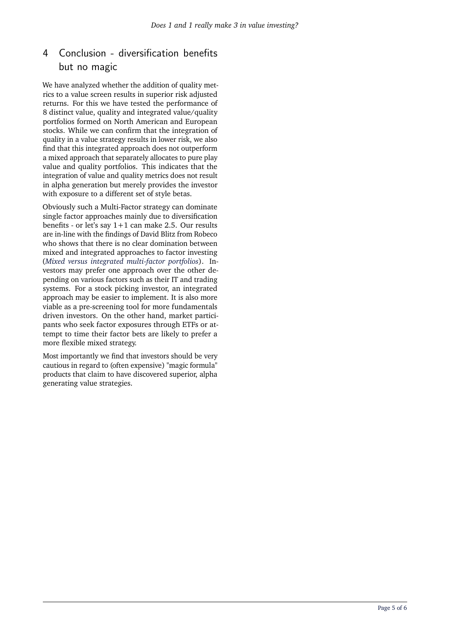# 4 Conclusion - diversification benefits but no magic

We have analyzed whether the addition of quality metrics to a value screen results in superior risk adjusted returns. For this we have tested the performance of 8 distinct value, quality and integrated value/quality portfolios formed on North American and European stocks. While we can confirm that the integration of quality in a value strategy results in lower risk, we also find that this integrated approach does not outperform a mixed approach that separately allocates to pure play value and quality portfolios. This indicates that the integration of value and quality metrics does not result in alpha generation but merely provides the investor with exposure to a different set of style betas.

Obviously such a Multi-Factor strategy can dominate single factor approaches mainly due to diversification benefits - or let's say  $1+1$  can make 2.5. Our results are in-line with the findings of David Blitz from Robeco who shows that there is no clear domination between mixed and integrated approaches to factor investing (*[Mixed versus integrated multi-factor portfolios](#page-5-6)*). Investors may prefer one approach over the other depending on various factors such as their IT and trading systems. For a stock picking investor, an integrated approach may be easier to implement. It is also more viable as a pre-screening tool for more fundamentals driven investors. On the other hand, market participants who seek factor exposures through ETFs or attempt to time their factor bets are likely to prefer a more flexible mixed strategy.

Most importantly we find that investors should be very cautious in regard to (often expensive) "magic formula" products that claim to have discovered superior, alpha generating value strategies.